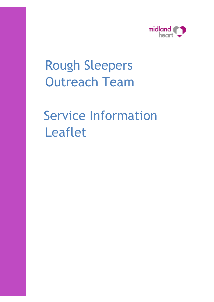

# Rough Sleepers Outreach Team

# Service Information Leaflet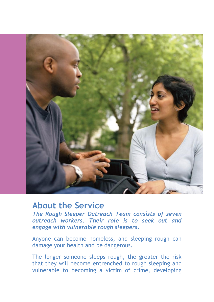

### **About the Service**

*The Rough Sleeper Outreach Team consists of seven outreach workers. Their role is to seek out and engage with vulnerable rough sleepers.* 

Anyone can become homeless, and sleeping rough can damage your health and be dangerous.

The longer someone sleeps rough, the greater the risk that they will become entrenched to rough sleeping and vulnerable to becoming a victim of crime, developing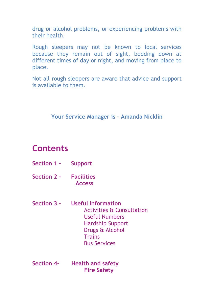drug or alcohol problems, or experiencing problems with their health.

Rough sleepers may not be known to local services because they remain out of sight, bedding down at different times of day or night, and moving from place to place.

Not all rough sleepers are aware that advice and support is available to them.

#### **Your Service Manager is – Amanda Nicklin**

## **Contents**

- **Section 1 - Support**
- **Section 2 - Facilities Access**
- **Section 3 – Useful Information** Activities & Consultation Useful Numbers Hardship Support Drugs & Alcohol **Trains** Bus Services
- **Section 4- Health and safety Fire Safety**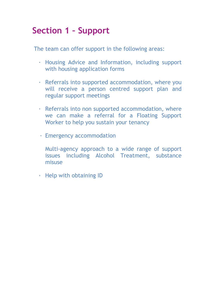# **Section 1 – Support**

The team can offer support in the following areas:

- · Housing Advice and Information, including support with housing application forms
- · Referrals into supported accommodation, where you will receive a person centred support plan and regular support meetings
- · Referrals into non supported accommodation, where we can make a referral for a Floating Support Worker to help you sustain your tenancy
- · Emergency accommodation
	- Multi-agency approach to a wide range of support issues including Alcohol Treatment, substance misuse
- · Help with obtaining ID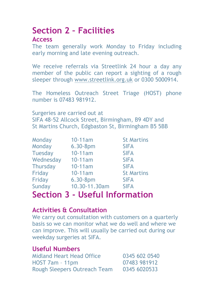# **Section 2 – Facilities**

#### **Access**

The team generally work Monday to Friday including early morning and late evening outreach.

We receive referrals via Streetlink 24 hour a day any member of the public can report a sighting of a rough sleeper through [www.streetlink.org.uk](http://www.streetlink.org.uk/) or 0300 5000914.

The Homeless Outreach Street Triage (HOST) phone number is 07483 981912.

Surgeries are carried out at SIFA 48-52 Allcock Street, Birmingham, B9 4DY and St Martins Church, Edgbaston St, Birmingham B5 5BB

| Monday          | 10-11am       | <b>St Martins</b> |
|-----------------|---------------|-------------------|
| Monday          | 6.30-8pm      | <b>SIFA</b>       |
| <b>Tuesday</b>  | 10-11am       | <b>SIFA</b>       |
| Wednesday       | $10-11am$     | <b>SIFA</b>       |
| <b>Thursday</b> | 10-11am       | <b>SIFA</b>       |
| Friday          | 10-11am       | <b>St Martins</b> |
| Friday          | 6.30-8pm      | <b>SIFA</b>       |
| Sunday          | 10.30-11.30am | <b>SIFA</b>       |

# **Section 3 - Useful Information**

#### **Activities & Consultation**

We carry out consultation with customers on a quarterly basis so we can monitor what we do well and where we can improve. This will usually be carried out during our weekday surgeries at SIFA.

#### **Useful Numbers**

| <b>Midland Heart Head Office</b>    | 0345 602 0540 |
|-------------------------------------|---------------|
| $HOST Zam - 11pm$                   | 07483 981912  |
| <b>Rough Sleepers Outreach Team</b> | 0345 6020533  |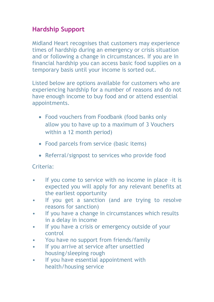#### **Hardship Support**

Midland Heart recognises that customers may experience times of hardship during an emergency or crisis situation and or following a change in circumstances. If you are in financial hardship you can access basic food supplies on a temporary basis until your income is sorted out.

Listed below are options available for customers who are experiencing hardship for a number of reasons and do not have enough income to buy food and or attend essential appointments.

- Food vouchers from Foodbank (food banks only allow you to have up to a maximum of 3 Vouchers within a 12 month period)
- Food parcels from service (basic items)
- Referral/signpost to services who provide food

#### Criteria:

- If you come to service with no income in place -it is expected you will apply for any relevant benefits at the earliest opportunity
- If you get a sanction (and are trying to resolve reasons for sanction)
- If you have a change in circumstances which results in a delay in income
- If you have a crisis or emergency outside of your control
- You have no support from friends/family
- If you arrive at service after unsettled housing/sleeping rough
- If you have essential appointment with health/housing service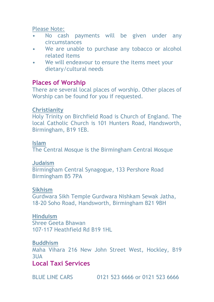Please Note:

- No cash payments will be given under any circumstances
- We are unable to purchase any tobacco or alcohol related items
- We will endeavour to ensure the items meet your dietary/cultural needs

#### **Places of Worship**

There are several local places of worship. Other places of Worship can be found for you if requested.

#### **Christianity**

Holy Trinity on Birchfield Road is Church of England. The local Catholic Church is 101 Hunters Road, Handsworth, Birmingham, B19 1EB.

#### **Islam**

The Central Mosque is the Birmingham Central Mosque

#### **Judaism**

Birmingham Central Synagogue, 133 Pershore Road Birmingham B5 7PA

#### **Sikhism**

Gurdwara Sikh Temple Gurdwara Nishkam Sewak Jatha, 18-20 Soho Road, Handsworth, Birmingham B21 9BH

#### **Hinduism**

Shree Geeta Bhawan 107-117 Heathfield Rd B19 1HL

#### **Buddhism**

Maha Vihara 216 New John Street West, Hockley, B19 3UA

#### **Local Taxi Services**

BLUE LINE CARS 0121 523 6666 or 0121 523 6666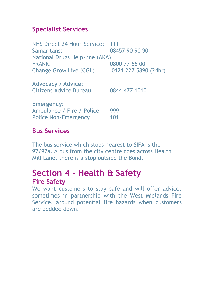#### **Specialist Services**

NHS Direct 24 Hour-Service: 111 Samaritans: 08457 90 90 90 National Drugs Help-line (AKA) FRANK: 0800 77 66 00 Change Grow Live (CGL) 0121 227 5890 (24hr) **Advocacy / Advice:** Citizens Advice Bureau: 0844 477 1010 **Emergency:** Ambulance / Fire / Police 999 Police Non-Emergency 101

#### **Bus Services**

The bus service which stops nearest to SIFA is the 97/97a. A bus from the city centre goes across Health Mill Lane, there is a stop outside the Bond.

### **Section 4 - Health & Safety Fire Safety**

We want customers to stay safe and will offer advice, sometimes in partnership with the West Midlands Fire Service, around potential fire hazards when customers are bedded down.